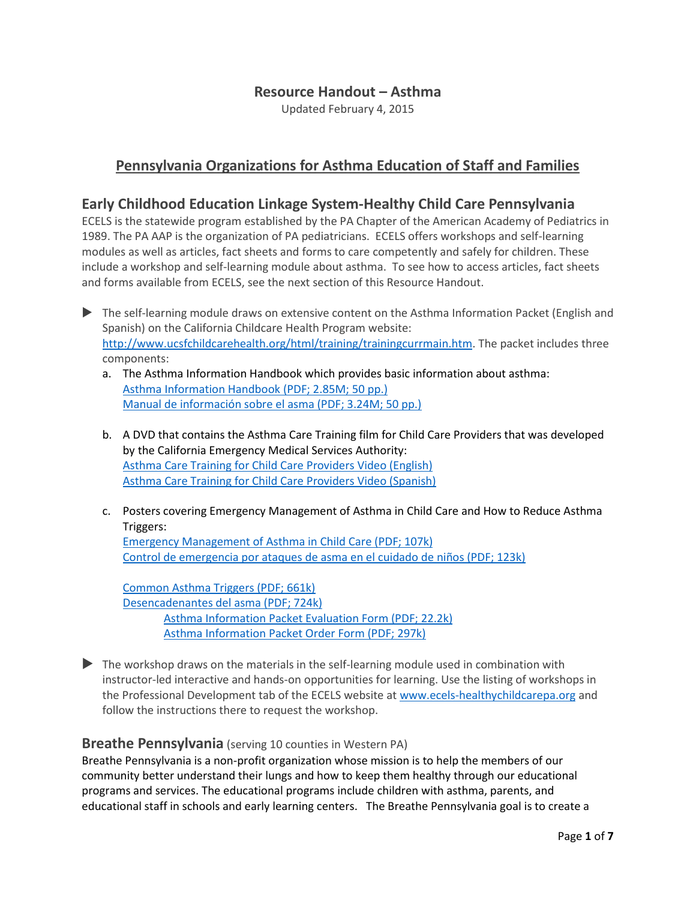### **Resource Handout – Asthma**

Updated February 4, 2015

## **Pennsylvania Organizations for Asthma Education of Staff and Families**

### **Early Childhood Education Linkage System-Healthy Child Care Pennsylvania**

ECELS is the statewide program established by the PA Chapter of the American Academy of Pediatrics in 1989. The PA AAP is the organization of PA pediatricians. ECELS offers workshops and self-learning modules as well as articles, fact sheets and forms to care competently and safely for children. These include a workshop and self-learning module about asthma. To see how to access articles, fact sheets and forms available from ECELS, see the next section of this Resource Handout.

- The self-learning module draws on extensive content on the Asthma Information Packet (English and Spanish) on the California Childcare Health Program website: [http://www.ucsfchildcarehealth.org/html/training/trainingcurrmain.htm.](http://www.ucsfchildcarehealth.org/html/training/trainingcurrmain.htm) The packet includes three components:
	- a. The Asthma Information Handbook which provides basic information about asthma: [Asthma Information Handbook \(PDF; 2.85M; 50 pp.\)](http://www.ucsfchildcarehealth.org/pdfs/asthma/Handbook_EN_0606.pdf) [Manual de información sobre el asma \(PDF; 3.24M; 50 pp.\)](http://www.ucsfchildcarehealth.org/pdfs/asthma/Handbook_SP_0606.pdf)
	- b. A DVD that contains the Asthma Care Training film for Child Care Providers that was developed by the California Emergency Medical Services Authority: [Asthma Care Training for Child Care Providers Video \(English\)](http://www.ucsfchildcarehealth.org/video/asthma/EN_Training_for_Providers.wmv) [Asthma Care Training for Child Care Providers Video \(Spanish\)](http://www.ucsfchildcarehealth.org/video/asthma/SP_Training_for_Providers.wmv)
	- c. Posters covering Emergency Management of Asthma in Child Care and How to Reduce Asthma Triggers:

[Emergency Management of Asthma in Child Care \(PDF; 107k\)](http://www.ucsfchildcarehealth.org/pdfs/asthma/Poster_Emergency_EN_0606.pdf) [Control de emergencia por ataques de asma en el cuidado de niños \(PDF; 123k\)](http://www.ucsfchildcarehealth.org/pdfs/asthma/Poster_Emergency_SP_0606.pdf)

[Common Asthma Triggers \(PDF; 661k\)](http://www.ucsfchildcarehealth.org/pdfs/asthma/Poster_Triggers_EN_0606.pdf) [Desencadenantes del asma \(PDF; 724k\)](http://www.ucsfchildcarehealth.org/pdfs/asthma/Poster_Triggers_SP_0606.pdf)  [Asthma Information Packet Evaluation Form \(PDF; 22.2k\)](http://www.ucsfchildcarehealth.org/pdfs/asthma/Evaluation_form.pdf) [Asthma Information Packet Order Form \(PDF; 297k\)](http://www.ucsfchildcarehealth.org/pdfs/forms/Asthma_Order_v2.pdf)

 The workshop draws on the materials in the self-learning module used in combination with instructor-led interactive and hands-on opportunities for learning. Use the listing of workshops in the Professional Development tab of the ECELS website a[t www.ecels-healthychildcarepa.org](http://www.ecels-healthychildcarepa.org/) and follow the instructions there to request the workshop.

#### **Breathe Pennsylvania** (serving 10 counties in Western PA)

Breathe Pennsylvania is a non-profit organization whose mission is to help the members of our community better understand their lungs and how to keep them healthy through our educational programs and services. The educational programs include children with asthma, parents, and educational staff in schools and early learning centers. The Breathe Pennsylvania goal is to create a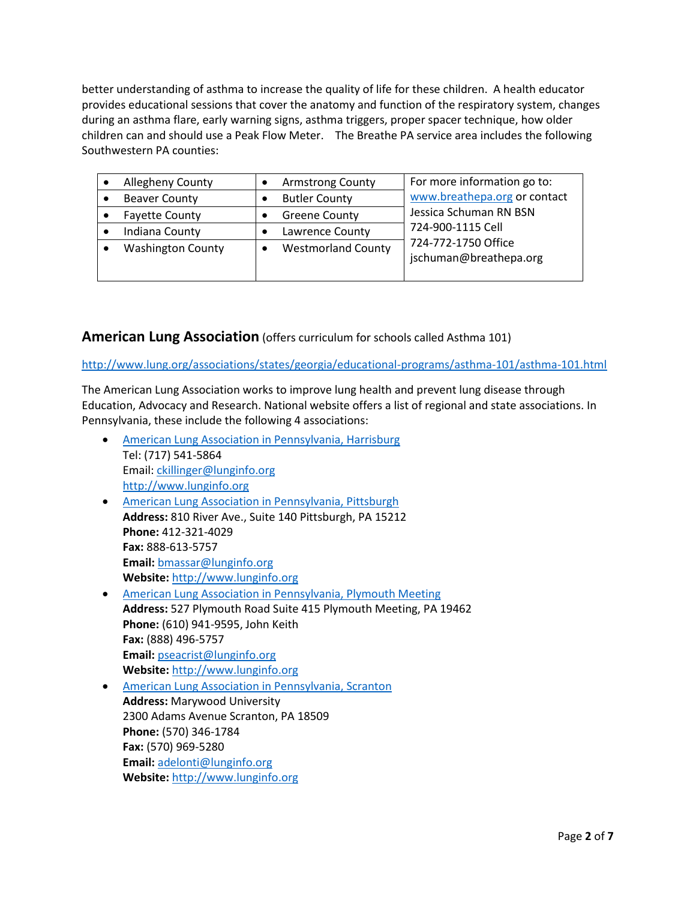better understanding of asthma to increase the quality of life for these children. A health educator provides educational sessions that cover the anatomy and function of the respiratory system, changes during an asthma flare, early warning signs, asthma triggers, proper spacer technique, how older children can and should use a Peak Flow Meter. The Breathe PA service area includes the following Southwestern PA counties:

| Allegheny County         | <b>Armstrong County</b>   | For more information go to:                                        |
|--------------------------|---------------------------|--------------------------------------------------------------------|
| <b>Beaver County</b>     | <b>Butler County</b>      | www.breathepa.org or contact                                       |
| <b>Fayette County</b>    | <b>Greene County</b>      | Jessica Schuman RN BSN                                             |
| Indiana County           | Lawrence County           | 724-900-1115 Cell<br>724-772-1750 Office<br>jschuman@breathepa.org |
| <b>Washington County</b> | <b>Westmorland County</b> |                                                                    |

### **American Lung Association** (offers curriculum for schools called Asthma 101)

<http://www.lung.org/associations/states/georgia/educational-programs/asthma-101/asthma-101.html>

The American Lung Association works to improve lung health and prevent lung disease through Education, Advocacy and Research. National website offers a list of regional and state associations. In Pennsylvania, these include the following 4 associations:

 [American Lung Association in Pennsylvania, Harrisburg](http://www.lunginfo.org/) Tel: (717) 541-5864 Email: [ckillinger@lunginfo.org](mailto:ckillinger@lunginfo.org) [http://www.lunginfo.org](http://www.lunginfo.org/) [American Lung Association in Pennsylvania, Pittsburgh](http://www.lunginfo.org/) **Address:** 810 River Ave., Suite 140 Pittsburgh, PA 15212 **Phone:** 412-321-4029 **Fax:** 888-613-5757 **Email:** [bmassar@lunginfo.org](mailto:bmassar@lunginfo.org) **Website:** [http://www.lunginfo.org](http://www.lunginfo.org/) [American Lung Association in Pennsylvania, Plymouth Meeting](http://www.lunginfo.org/) **Address:** 527 Plymouth Road Suite 415 Plymouth Meeting, PA 19462 **Phone:** (610) 941-9595, John Keith **Fax:** (888) 496-5757 **Email:** [pseacrist@lunginfo.org](mailto:pseacrist@lunginfo.org) **Website:** [http://www.lunginfo.org](http://www.lunginfo.org/) [American Lung Association in Pennsylvania, Scranton](http://www.lunginfo.org/) **Address:** Marywood University 2300 Adams Avenue Scranton, PA 18509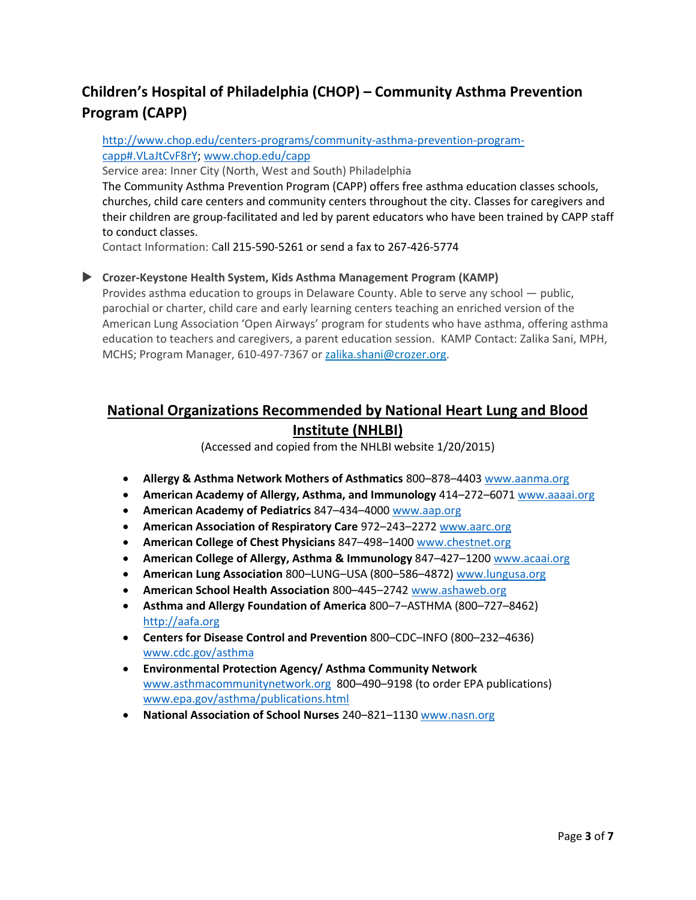# **Children's Hospital of Philadelphia (CHOP) – Community Asthma Prevention Program (CAPP)**

#### [http://www.chop.edu/centers-programs/community-asthma-prevention-program](http://www.chop.edu/centers-programs/community-asthma-prevention-program-capp#.VLaJtCvF8rY)[capp#.VLaJtCvF8rY;](http://www.chop.edu/centers-programs/community-asthma-prevention-program-capp#.VLaJtCvF8rY) [www.chop.edu/capp](http://www.chop.edu/capp)

Service area: Inner City (North, West and South) Philadelphia

The Community Asthma Prevention Program (CAPP) offers free asthma education classes schools, churches, child care centers and community centers throughout the city. Classes for caregivers and their children are group-facilitated and led by parent educators who have been trained by CAPP staff to conduct classes.

Contact Information: Call 215-590-5261 or send a fax to 267-426-5774

#### **Crozer-Keystone Health System, Kids Asthma Management Program (KAMP)**

Provides asthma education to groups in Delaware County. Able to serve any school — public, parochial or charter, child care and early learning centers teaching an enriched version of the American Lung Association 'Open Airways' program for students who have asthma, offering asthma education to teachers and caregivers, a parent education session. KAMP Contact: Zalika Sani, MPH, MCHS; Program Manager, 610-497-7367 or [zalika.shani@crozer.org.](mailto:zalika.shani@crozer.org)

# **National Organizations Recommended by National Heart Lung and Blood Institute (NHLBI)**

(Accessed and copied from the NHLBI website 1/20/2015)

- **Allergy & Asthma Network Mothers of Asthmatics** 800–878–440[3 www.aanma.org](http://www.aanma.org/)
- **American Academy of Allergy, Asthma, and Immunology** 414–272–607[1 www.aaaai.org](http://www.aaaai.org/)
- **American Academy of Pediatrics** 847–434–4000 [www.aap.org](http://www.aap.org/)
- **American Association of Respiratory Care** 972–243–2272 [www.aarc.org](http://www.aarc.org/)
- **American College of Chest Physicians** 847–498–140[0 www.chestnet.org](http://www.chestnet.org/)
- **American College of Allergy, Asthma & Immunology** 847–427–120[0 www.acaai.org](http://www.acaai.org/)
- **American Lung Association** 800–LUNG–USA (800–586–4872[\) www.lungusa.org](http://www.lungusa.org/)
- **American School Health Association** 800–445–2742 [www.ashaweb.org](http://www.ashaweb.org/)
- **Asthma and Allergy Foundation of America** 800–7–ASTHMA (800–727–8462) [http://aafa.org](http://aafa.org/)
- **Centers for Disease Control and Prevention** 800–CDC–INFO (800–232–4636) [www.cdc.gov/asthma](http://www.cdc.gov/asthma)
- **Environmental Protection Agency/ Asthma Community Network**  [www.asthmacommunitynetwork.org](http://www.asthmacommunitynetwork.org/) 800–490–9198 (to order EPA publications) [www.epa.gov/asthma/publications.html](http://www.epa.gov/asthma/publications.html)
- **National Association of School Nurses** 240–821–1130 [www.nasn.org](http://www.nasn.org/)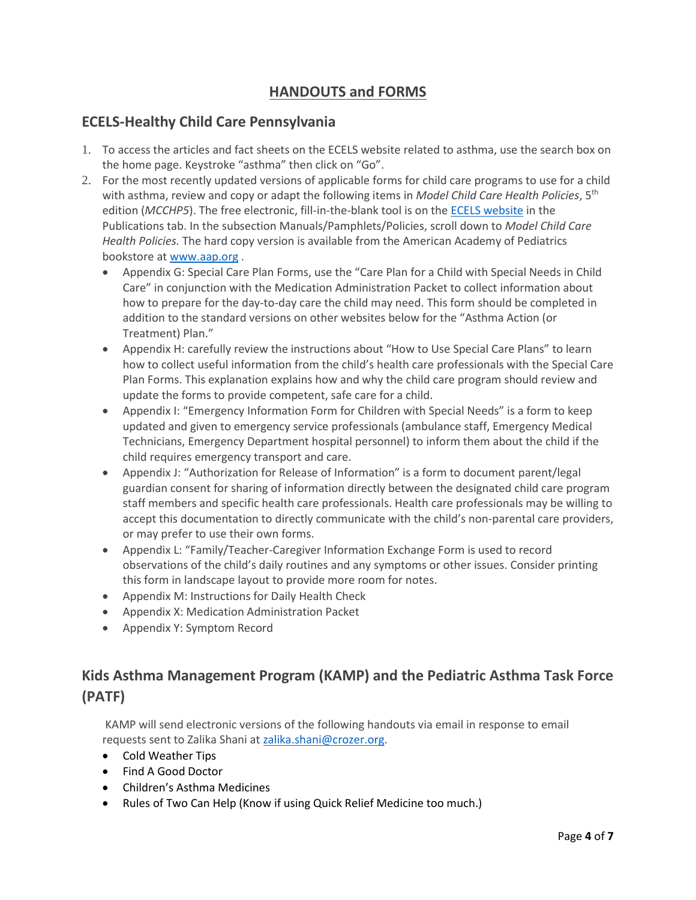# **HANDOUTS and FORMS**

### **ECELS-Healthy Child Care Pennsylvania**

- 1. To access the articles and fact sheets on the ECELS website related to asthma, use the search box on the home page. Keystroke "asthma" then click on "Go".
- 2. For the most recently updated versions of applicable forms for child care programs to use for a child with asthma, review and copy or adapt the following items in *Model Child Care Health Policies*, 5th edition (*MCCHP5*). The free electronic, fill-in-the-blank tool is on th[e ECELS website](http://www.ecels-healthychildcarepa.org/) in the Publications tab. In the subsection Manuals/Pamphlets/Policies, scroll down to *Model Child Care Health Policies.* The hard copy version is available from the American Academy of Pediatrics bookstore at [www.aap.org](http://www.aap.org/) .
	- Appendix G: Special Care Plan Forms, use the "Care Plan for a Child with Special Needs in Child Care" in conjunction with the Medication Administration Packet to collect information about how to prepare for the day-to-day care the child may need. This form should be completed in addition to the standard versions on other websites below for the "Asthma Action (or Treatment) Plan."
	- Appendix H: carefully review the instructions about "How to Use Special Care Plans" to learn how to collect useful information from the child's health care professionals with the Special Care Plan Forms. This explanation explains how and why the child care program should review and update the forms to provide competent, safe care for a child.
	- Appendix I: "Emergency Information Form for Children with Special Needs" is a form to keep updated and given to emergency service professionals (ambulance staff, Emergency Medical Technicians, Emergency Department hospital personnel) to inform them about the child if the child requires emergency transport and care.
	- Appendix J: "Authorization for Release of Information" is a form to document parent/legal guardian consent for sharing of information directly between the designated child care program staff members and specific health care professionals. Health care professionals may be willing to accept this documentation to directly communicate with the child's non-parental care providers, or may prefer to use their own forms.
	- Appendix L: "Family/Teacher-Caregiver Information Exchange Form is used to record observations of the child's daily routines and any symptoms or other issues. Consider printing this form in landscape layout to provide more room for notes.
	- Appendix M: Instructions for Daily Health Check
	- Appendix X: Medication Administration Packet
	- Appendix Y: Symptom Record

# **Kids Asthma Management Program (KAMP) and the Pediatric Asthma Task Force (PATF)**

KAMP will send electronic versions of the following handouts via email in response to email requests sent to Zalika Shani at [zalika.shani@crozer.org.](mailto:zalika.shani@crozer.org)

- Cold Weather Tips
- Find A Good Doctor
- Children's Asthma Medicines
- Rules of Two Can Help (Know if using Quick Relief Medicine too much.)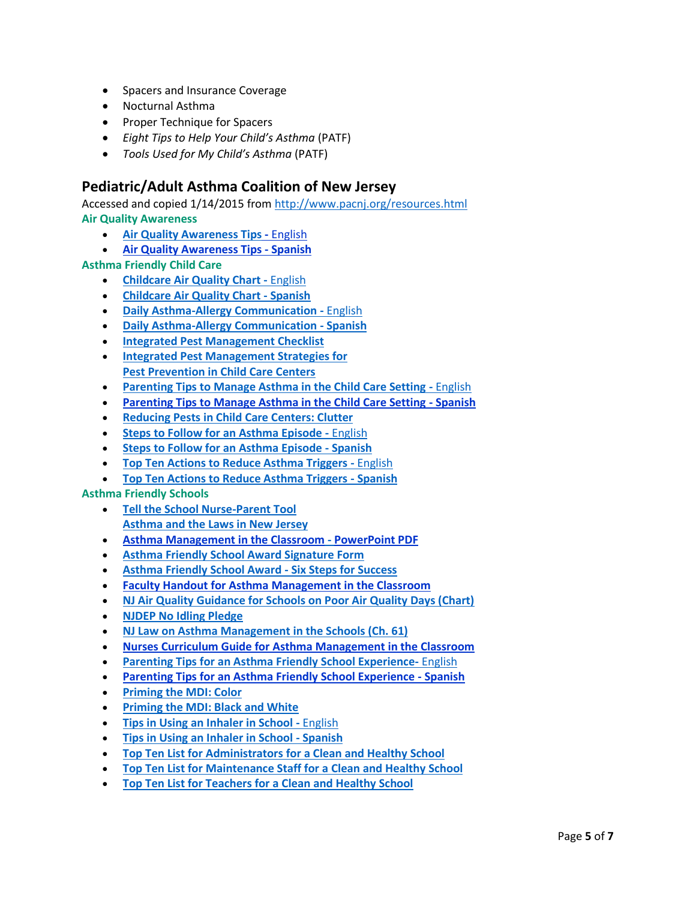- Spacers and Insurance Coverage
- Nocturnal Asthma
- Proper Technique for Spacers
- *Eight Tips to Help Your Child's Asthma* (PATF)
- *Tools Used for My Child's Asthma* (PATF)

### **Pediatric/Adult Asthma Coalition of New Jersey**

Accessed and copied 1/14/2015 from <http://www.pacnj.org/resources.html> **Air Quality Awareness**

- **[Air Quality Awareness Tips](http://www.pacnj.org/pdfs/AirQualityAwarenessTips.pdf) -** English
- **[Air Quality Awareness Tips -](http://www.pacnj.org/pdfs/AirQualityAwarenessTipsSPA.pdf) Spanish**

**Asthma Friendly Child Care**

- **[Childcare Air Quality Chart -](http://www.pacnj.org/pdfs/AQI.pdf)** English
- **[Childcare Air Quality Chart -](http://www.pacnj.org/pdfs/AQIspanish.pdf) Spanish**
- **[Daily Asthma-Allergy Communication -](http://www.pacnj.org/pdfs/DailyAsthma-AllergyCommunicationEnglish.pdf)** [English](http://www.pacnj.org/pdfs/DailyAsthma-AllergyCommunicationEnglish.pdf)
- **[Daily Asthma-Allergy Communication -](http://www.pacnj.org/pdfs/DailyAsthma-AllergyCommunicationSpanish.pdf) [Spanish](http://www.pacnj.org/pdfs/DailyAsthma-AllergyCommunicationSpanish.pdf)**
- **[Integrated Pest Management Checklist](http://www.pacnj.org/pdfs/IPMChecklist.pdf)**
- **[Integrated Pest Management Strategies for](http://www.pacnj.org/pdfs/IPMStrategies.pdf)  [Pest Prevention in Child Care Centers](http://www.pacnj.org/pdfs/IPMStrategies.pdf)**
- **[Parenting Tips to Manage Asthma in the Child Care Setting -](http://www.pacnj.org/pdfs/Parenting%20Tips%20to%20Managing%20Asthma%20in%20the%20Child%20Care%20Setting.pdf)** English
- **[Parenting Tips to Manage Asthma in the Child Care Setting -](http://www.pacnj.org/pdfs/Parenting%20Tips%20to%20Managing%20Asthma%20in%20the%20Child%20Care%20Setting_SPA.pdf) Spanish**
- **[Reducing Pests in Child Care Centers: Clutter](http://www.pacnj.org/pdfs/ReducingPests.pdf)**
- **[Steps to Follow for an Asthma Episode -](http://www.pacnj.org/pdfs/StepstoFollowforanAsthmaEpisodeEnglish.pdf)** English
- **[Steps to Follow for an Asthma Episode -](http://www.pacnj.org/pdfs/StepstoFollowforanAsthmaEpisodeSpanish.pdf) Spanish**
- **[Top Ten Actions to Reduce Asthma Triggers -](http://www.pacnj.org/pdfs/TopTenActionstoReduceAsthmaTriggersEnglish.pdf)** English
- **[Top Ten Actions to Reduce Asthma Triggers -](http://www.pacnj.org/pdfs/TopTenActionstoReduceAsthmaTriggersSpanish.pdf) Spanish**

#### **Asthma Friendly Schools**

- **[Tell the School Nurse-Parent Tool](http://www.pacnj.org/pdfs/ParentTool.pdf) [Asthma and the Laws in New Jersey](http://www.pacnj.org/pdfs/AsthmaandtheLawsinNewJersey.pdf)**
- **[Asthma Management in the Classroom](http://www.pacnj.org/pdfs/PowerPointPDF-AsthmaManagementintheClassroom.pdf) - [PowerPoint PDF](http://www.pacnj.org/pdfs/PowerPointPDF-AsthmaManagementintheClassroom.pdf)**
- **[Asthma Friendly School Award Signature Form](http://www.pacnj.org/pdfs/PACNJ%20Asthma%20Friendly%20School%20Award%20Signature%20Form%20April%202010.pdf)**
- **[Asthma Friendly School Award -](http://www.pacnj.org/pdfs/asthmafriendlyschool.pdf) Six Steps for Success**
- **[Faculty Handout for Asthma Management in the Classroom](http://www.pacnj.org/pdfs/FacultyHandout-AsthmaManagementintheClassroom.pdf)**
- **[NJ Air Quality Guidance for Schools on Poor Air Quality Days \(Chart\)](http://www.pacnj.org/pdfs/poorair.pdf)**
- **[NJDEP No Idling Pledge](http://www.pacnj.org/pdfs/NJDEPNoIdlingPledge.pdf)**
- **[NJ Law on Asthma Management in the Schools \(Ch. 61\)](http://www.pacnj.org/pdfs/61.pdf)**
- **[Nurses Curriculum Guide for Asthma Management in the Classroom](http://www.pacnj.org/pdfs/CurriculumGuide-AsthmaManagementintheClassroom.pdf)**
- **[Parenting Tips for an Asthma Friendly School Experience-](http://www.pacnj.org/pdfs/Parenting%20Tips%20for%20an%20Asthma%20Friendly%20School%20Experience.pdf)** English
- **[Parenting Tips for an Asthma Friendly School Experience -](http://www.pacnj.org/pdfs/Parenting%20Tips%20for%20an%20Asthma%20Friendly%20School%20Experience%20SPA.pdf) Spanish**
- **[Priming the MDI: Color](http://www.pacnj.org/pdfs/mdi101schoolnurse.pdf)**
- **[Priming the MDI: Black and White](http://www.pacnj.org/pdfs/mdi101schoolnursebw.pdf)**
- **[Tips in Using an Inhaler in School -](http://www.pacnj.org/pdfs/inhalertips.pdf)** English
- **[Tips in Using an Inhaler in School -](http://www.pacnj.org/pdfs/inhalertipsspanish.pdf) Spanish**
- **[Top Ten List for Administrators for a Clean and Healthy School](http://www.pacnj.org/pdfs/TopTenListforAdministratorsforaCleanandHealthySchool.pdf)**
- **[Top Ten List for Maintenance Staff for a Clean and Healthy School](http://www.pacnj.org/pdfs/TopTenListforMaintenanceStaffforaCleanandHealthySchool.pdf)**
- **[Top Ten List for Teachers for a Clean and Healthy School](http://www.pacnj.org/pdfs/TopTenListforTeachersforaCleanandHealthySchool.pdf)**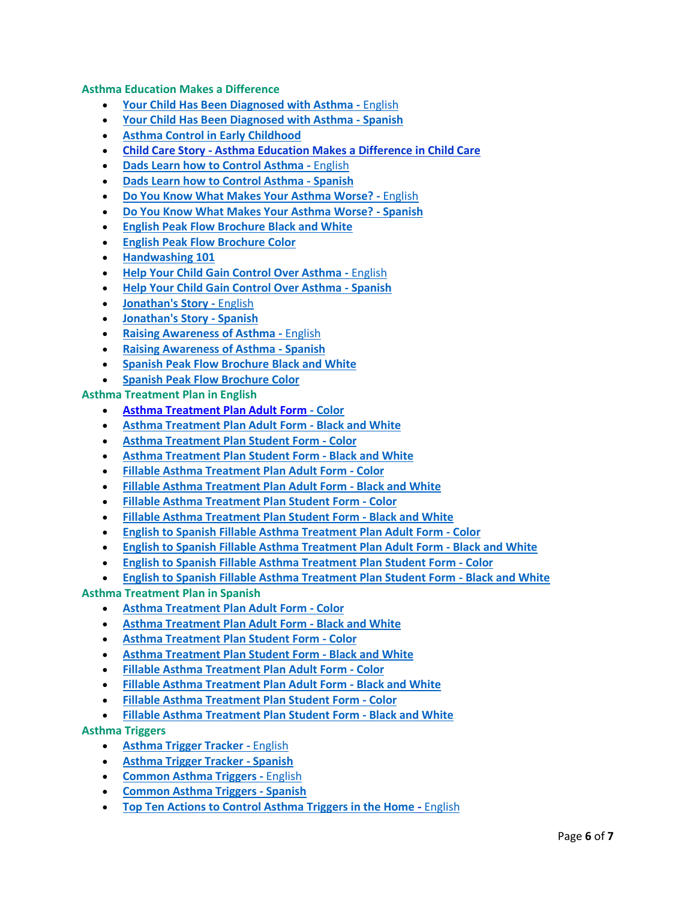**Asthma Education Makes a Difference**

- **[Your Child Has Been Diagnosed with Asthma -](http://www.pacnj.org/checkitoutweek13.html)** English
- **[Your Child Has Been Diagnosed with Asthma -](http://www.pacnj.org/spanish/checkitoutweek13sp.html) Spanish**
- **[Asthma Control in Early Childhood](http://www.pacnj.org/checkitoutweek1.html)**
- **Child Care Story - [Asthma Education Makes a Difference in Child Care](http://www.pacnj.org/pdfs/ChildCareStory.pdf)**
- **[Dads Learn how to Control Asthma -](http://www.pacnj.org/checkitoutweek5.html)** English
- **[Dads Learn how to Control Asthma -](http://www.pacnj.org/spanish/checkitoutweek5sp.html) Spanish**
- **[Do You Know What Makes](http://www.pacnj.org/checkitoutweek1.html) Your Asthma Worse? -** English
- **[Do You Know What Makes Your Asthma Worse? -](http://www.pacnj.org/spanish/checkitoutweek1sp.html) Spanish**
- **English Peak Flow [Brochure Black and White](http://www.pacnj.org/pdfs/peakflowhandoutb&w.pdf)**
- **[English Peak Flow Brochure Color](http://www.pacnj.org/pdfs/peakflowhandout.pdf)**
- **[Handwashing 101](http://www.pacnj.org/checkitoutweek8.html)**
- **[Help Your Child Gain Control Over Asthma -](http://www.epa.gov/asthma/pdfs/ll_asthma_brochure.pdf)** English
- **[Help Your Child Gain Control Over Asthma -](http://www.epa.gov/asthma/pdfs/ll_asthma_brochure.pdf) Spanish**
- **[Jonathan's Story -](http://www.pacnj.org/mayawarenessold.html)** English
- **[Jonathan's Story -](http://www.pacnj.org/spanish/mayawarenessoldsp.html) Spanish**
- **[Raising Awareness of Asthma -](http://www.pacnj.org/checkitoutweek4.html)** English
- **[Raising Awareness of Asthma -](http://www.pacnj.org/spanish/checkitoutweek4sp.html) Spanish**
- **[Spanish Peak Flow Brochure](http://www.pacnj.org/pdfs/peakflowhandoutspanishb&w.pdf) Black and White**
- **[Spanish Peak Flow Brochure Color](http://www.pacnj.org/pdfs/peakflowhandoutspanish.pdf)**

**Asthma Treatment Plan in English**

- **[Asthma Treatment Plan Adult Form](http://www.pacnj.org/apps/dl.asp?SID=TPL&PageLang=en&File=/pdfs/atpadult2012.pdf) - Color**
- **[Asthma Treatment Plan Adult Form -](http://www.pacnj.org/apps/dl.asp?SID=TPL&PageLang=en&File=/pdfs/atpadultbw2012.pdf) Black and White**
- **[Asthma Treatment Plan Student Form -](http://www.pacnj.org/apps/dl.asp?SID=TPL&PageLang=en&File=/pdfs/atpstudent2012.pdf) Color**
- **[Asthma Treatment Plan Student Form -](http://www.pacnj.org/apps/dl.asp?SID=TPL&PageLang=en&File=/pdfs/atpstudentbw2012.pdf) Black and White**
- **[Fillable Asthma Treatment Plan Adult Form -](http://www.pacnj.org/apps/dl.asp?SID=TPL&PageLang=en&File=/pdfs/atpfillableadult.pdf) Color**
- **[Fillable Asthma Treatment Plan Adult Form -](http://www.pacnj.org/apps/dl.asp?SID=TPL&PageLang=en&File=/pdfs/atpfillableadultbw.pdf) Black and White**
- **[Fillable Asthma Treatment Plan Student Form -](http://www.pacnj.org/apps/dl.asp?SID=TPL&PageLang=en&File=/pdfs/atpfillablestudent.pdf) Color**
- **[Fillable Asthma Treatment Plan Student Form -](http://www.pacnj.org/apps/dl.asp?SID=TPL&PageLang=en&File=/pdfs/atpfillablestudentbw.pdf) Black and White**
- **[English to Spanish Fillable Asthma Treatment Plan Adult Form -](http://www.pacnj.org/apps/dl.asp?SID=TPL&PageLang=en&File=/pdfs/atpfillableadultengsp.pdf) Color**
- **[English to Spanish Fillable Asthma Treatment Plan Adult Form -](http://www.pacnj.org/apps/dl.asp?SID=TPL&PageLang=en&File=/pdfs/atpfillableadultbwengsp.pdf) Black and White**
- **[English to Spanish Fillable Asthma Treatment Plan Student Form -](http://www.pacnj.org/apps/dl.asp?SID=TPL&PageLang=en&File=/pdfs/atpfillablestudentengsp.pdf) Color**
- **[English to Spanish Fillable Asthma Treatment Plan Student Form -](http://www.pacnj.org/apps/dl.asp?SID=TPL&PageLang=en&File=/pdfs/atpfillablestudentbwengsp.pdf) Black and White**

**Asthma Treatment Plan in Spanish**

- **[Asthma Treatment Plan Adult Form -](http://www.pacnj.org/apps/dl.asp?SID=TPL&PageLang=es&File=/pdfs/atpadult2012sp.pdf) Color**
- **[Asthma Treatment Plan Adult Form -](http://www.pacnj.org/apps/dl.asp?SID=TPL&PageLang=es&File=/pdfs/atpadultbw2012sp.pdf) Black and White**
- **[Asthma Treatment Plan Student Form -](http://www.pacnj.org/apps/dl.asp?SID=TPL&PageLang=es&File=/pdfs/atpstudent2012sp.pdf) Color**
- **[Asthma Treatment Plan Student Form -](http://www.pacnj.org/apps/dl.asp?SID=TPL&PageLang=es&File=/pdfs/atpfillableadultbwsp.pdf) Black and White**
- **[Fillable Asthma Treatment Plan Adult Form -](http://www.pacnj.org/apps/dl.asp?SID=TPL&PageLang=es&File=/pdfs/atpfillableadultsp.pdf) Color**
- **[Fillable Asthma Treatment Plan Adult Form -](http://www.pacnj.org/apps/dl.asp?SID=TPL&PageLang=es&File=/pdfs/atpfillableadultbwsp.pdf) Black and White**
- **[Fillable Asthma Treatment Plan Student Form -](http://www.pacnj.org/apps/dl.asp?SID=TPL&PageLang=es&File=/pdfs/atpfillablestudentsp.pdf) Color**
- **[Fillable Asthma Treatment Plan Student Form -](http://www.pacnj.org/apps/dl.asp?SID=TPL&PageLang=es&File=/pdfs/atpfillablestudentbwsp.pdf) Black and White**
- **Asthma Triggers**
	- **[Asthma Trigger Tracker -](http://www.pacnj.org/pdfs/asthma_triggers_tracking.pdf)** English
	- **[Asthma Trigger Tracker -](http://www.pacnj.org/spanish/pdfs/triggertracker_sp.pdf) Spanish**
	- **[Common Asthma Triggers -](http://www.pacnj.org/pdfs/CommonAsthmaTriggersEnglish.pdf)** English
	- **Common [Asthma Triggers -](http://www.pacnj.org/pdfs/CommonAsthmaTriggerSpanish.pdf) Spanish**
	- **[Top Ten Actions to Control Asthma Triggers in the Home](http://www.pacnj.org/pdfs/Top%20Ten%20Actions%20to%20Control%20Asthma%20Triggers%20in%20the%20Home%20-%20English.pdf) -** English